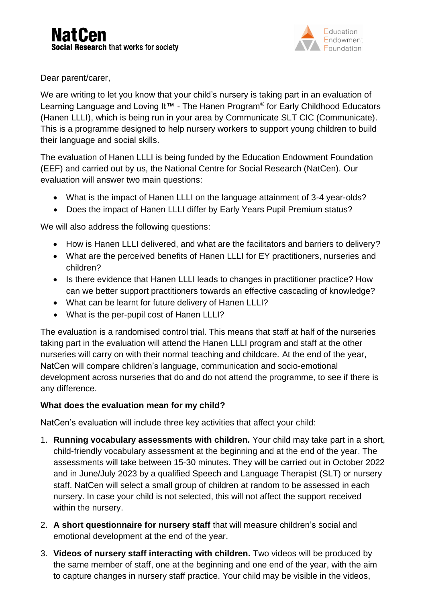

Dear parent/carer,

We are writing to let you know that your child's nursery is taking part in an evaluation of Learning Language and Loving It™ - The Hanen Program<sup>®</sup> for Early Childhood Educators (Hanen LLLI), which is being run in your area by Communicate SLT CIC (Communicate). This is a programme designed to help nursery workers to support young children to build their language and social skills.

The evaluation of Hanen LLLI is being funded by the Education Endowment Foundation (EEF) and carried out by us, the National Centre for Social Research (NatCen). Our evaluation will answer two main questions:

- What is the impact of Hanen LLLI on the language attainment of 3-4 year-olds?
- Does the impact of Hanen LLLI differ by Early Years Pupil Premium status?

We will also address the following questions:

- How is Hanen LLLI delivered, and what are the facilitators and barriers to delivery?
- What are the perceived benefits of Hanen LLLI for EY practitioners, nurseries and children?
- Is there evidence that Hanen LLLI leads to changes in practitioner practice? How can we better support practitioners towards an effective cascading of knowledge?
- What can be learnt for future delivery of Hanen LLLI?
- What is the per-pupil cost of Hanen LLLI?

The evaluation is a randomised control trial. This means that staff at half of the nurseries taking part in the evaluation will attend the Hanen LLLI program and staff at the other nurseries will carry on with their normal teaching and childcare. At the end of the year, NatCen will compare children's language, communication and socio-emotional development across nurseries that do and do not attend the programme, to see if there is any difference.

## **What does the evaluation mean for my child?**

NatCen's evaluation will include three key activities that affect your child:

- 1. **Running vocabulary assessments with children.** Your child may take part in a short, child-friendly vocabulary assessment at the beginning and at the end of the year. The assessments will take between 15-30 minutes. They will be carried out in October 2022 and in June/July 2023 by a qualified Speech and Language Therapist (SLT) or nursery staff. NatCen will select a small group of children at random to be assessed in each nursery. In case your child is not selected, this will not affect the support received within the nursery.
- 2. **A short questionnaire for nursery staff** that will measure children's social and emotional development at the end of the year.
- 3. **Videos of nursery staff interacting with children.** Two videos will be produced by the same member of staff, one at the beginning and one end of the year, with the aim to capture changes in nursery staff practice. Your child may be visible in the videos,